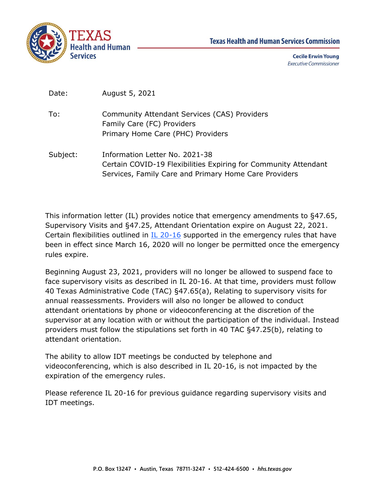

| Date: | August 5, 2021 |  |
|-------|----------------|--|
|-------|----------------|--|

- To: Community Attendant Services (CAS) Providers Family Care (FC) Providers Primary Home Care (PHC) Providers
- Subject: Information Letter No. 2021-38 Certain COVID-19 Flexibilities Expiring for Community Attendant Services, Family Care and Primary Home Care Providers

This information letter (IL) provides notice that emergency amendments to §47.65, Supervisory Visits and §47.25, Attendant Orientation expire on August 22, 2021. Certain flexibilities outlined in [IL 20-16](https://apps.hhs.texas.gov/providers/communications/2020/letters/IL2020-16.pdf) supported in the emergency rules that have been in effect since March 16, 2020 will no longer be permitted once the emergency rules expire.

Beginning August 23, 2021, providers will no longer be allowed to suspend face to face supervisory visits as described in IL 20-16. At that time, providers must follow 40 Texas Administrative Code (TAC) §47.65(a), Relating to supervisory visits for annual reassessments. Providers will also no longer be allowed to conduct attendant orientations by phone or videoconferencing at the discretion of the supervisor at any location with or without the participation of the individual. Instead providers must follow the stipulations set forth in 40 TAC §47.25(b), relating to attendant orientation.

The ability to allow IDT meetings be conducted by telephone and videoconferencing, which is also described in IL 20-16, is not impacted by the expiration of the emergency rules.

Please reference IL 20-16 for previous guidance regarding supervisory visits and IDT meetings.